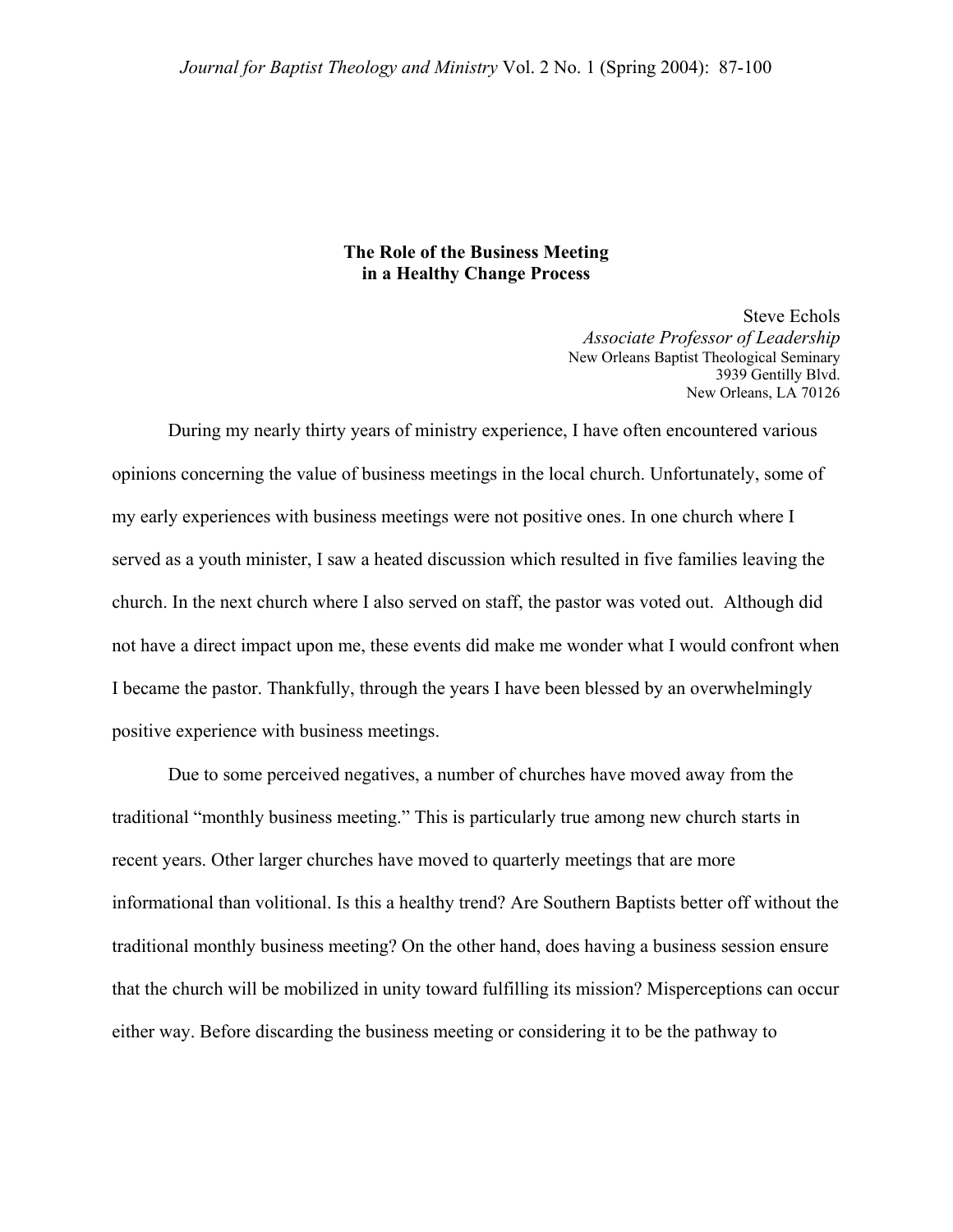# **The Role of the Business Meeting in a Healthy Change Process**

Steve Echols *Associate Professor of Leadership* New Orleans Baptist Theological Seminary 3939 Gentilly Blvd. New Orleans, LA 70126

During my nearly thirty years of ministry experience, I have often encountered various opinions concerning the value of business meetings in the local church. Unfortunately, some of my early experiences with business meetings were not positive ones. In one church where I served as a youth minister, I saw a heated discussion which resulted in five families leaving the church. In the next church where I also served on staff, the pastor was voted out. Although did not have a direct impact upon me, these events did make me wonder what I would confront when I became the pastor. Thankfully, through the years I have been blessed by an overwhelmingly positive experience with business meetings.

 Due to some perceived negatives, a number of churches have moved away from the traditional "monthly business meeting." This is particularly true among new church starts in recent years. Other larger churches have moved to quarterly meetings that are more informational than volitional. Is this a healthy trend? Are Southern Baptists better off without the traditional monthly business meeting? On the other hand, does having a business session ensure that the church will be mobilized in unity toward fulfilling its mission? Misperceptions can occur either way. Before discarding the business meeting or considering it to be the pathway to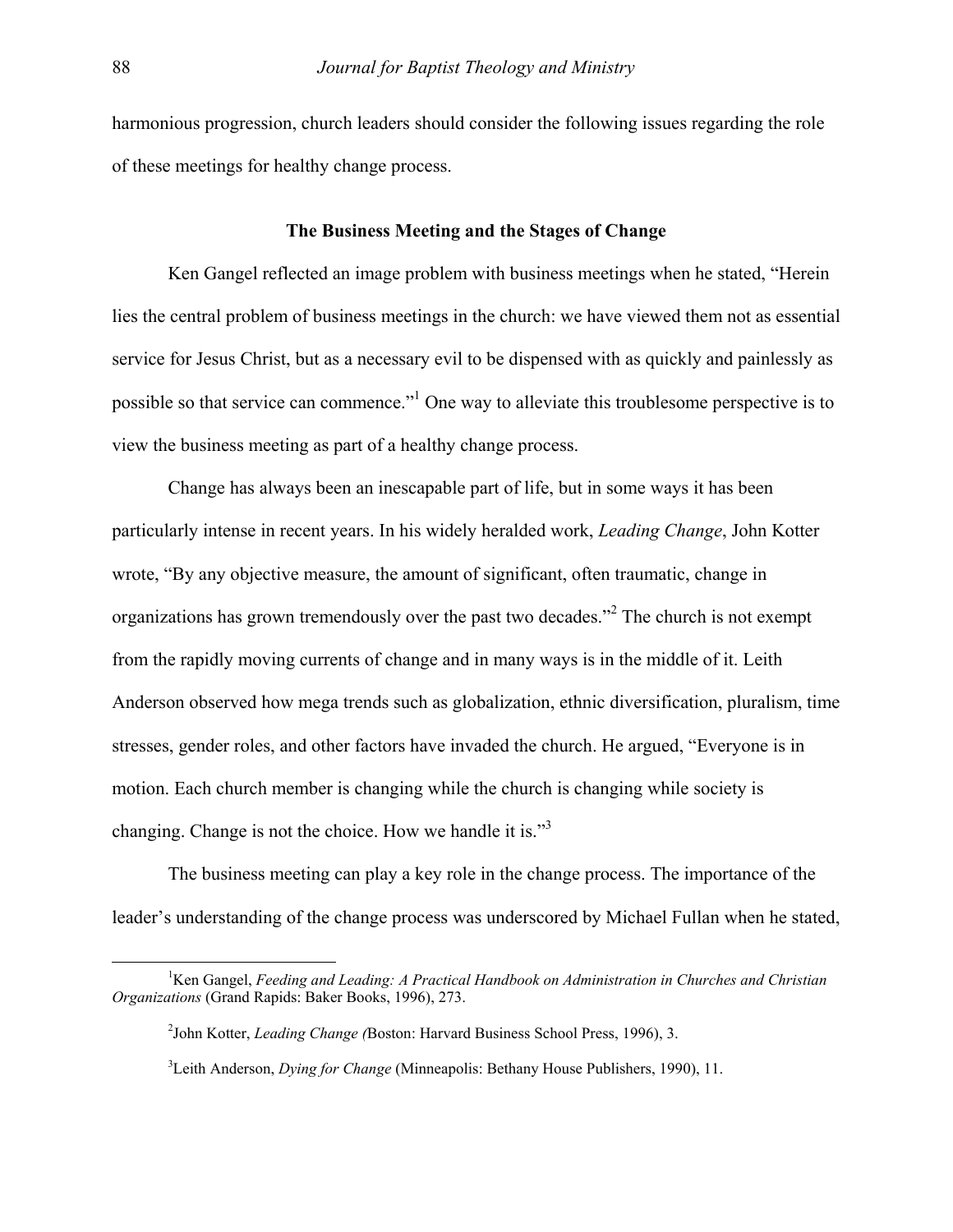harmonious progression, church leaders should consider the following issues regarding the role of these meetings for healthy change process.

# **The Business Meeting and the Stages of Change**

 Ken Gangel reflected an image problem with business meetings when he stated, "Herein lies the central problem of business meetings in the church: we have viewed them not as essential service for Jesus Christ, but as a necessary evil to be dispensed with as quickly and painlessly as possible so that service can commence."<sup>[1](#page-1-0)</sup> One way to alleviate this troublesome perspective is to view the business meeting as part of a healthy change process.

 Change has always been an inescapable part of life, but in some ways it has been particularly intense in recent years. In his widely heralded work, *Leading Change*, John Kotter wrote, "By any objective measure, the amount of significant, often traumatic, change in organizations has grown tremendously over the past two decades."<sup>[2](#page-1-1)</sup> The church is not exempt from the rapidly moving currents of change and in many ways is in the middle of it. Leith Anderson observed how mega trends such as globalization, ethnic diversification, pluralism, time stresses, gender roles, and other factors have invaded the church. He argued, "Everyone is in motion. Each church member is changing while the church is changing while society is changing. Change is not the choice. How we handle it is."<sup>[3](#page-1-2)</sup>

 The business meeting can play a key role in the change process. The importance of the leader's understanding of the change process was underscored by Michael Fullan when he stated,

 $\frac{1}{1}$ <sup>1</sup>Ken Gangel, *Feeding and Leading: A Practical Handbook on Administration in Churches and Christian Organizations* (Grand Rapids: Baker Books, 1996), 273.

<span id="page-1-1"></span><span id="page-1-0"></span><sup>2</sup> John Kotter, *Leading Change (*Boston: Harvard Business School Press, 1996), 3.

<span id="page-1-2"></span><sup>3</sup> Leith Anderson, *Dying for Change* (Minneapolis: Bethany House Publishers, 1990), 11.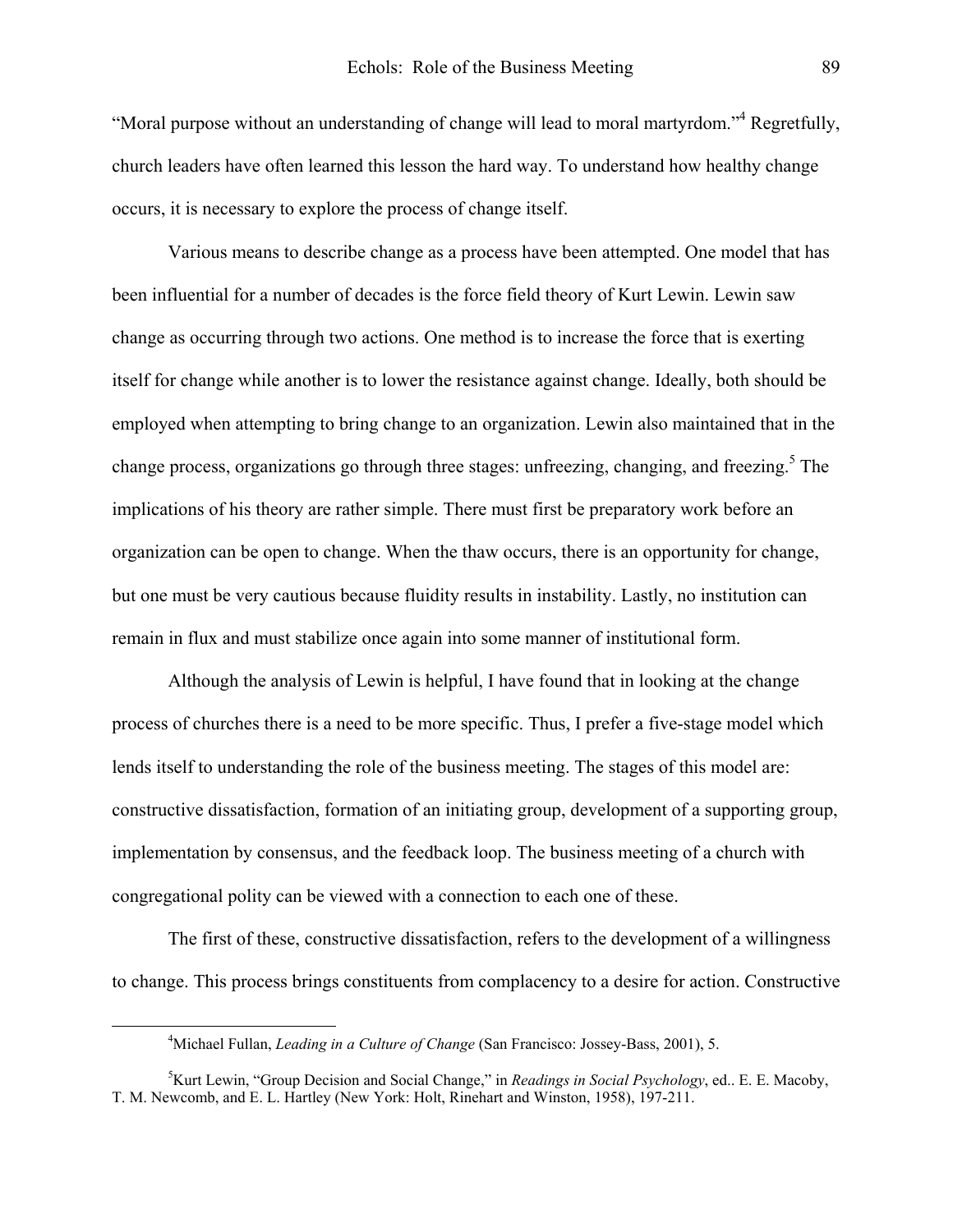"Moral purpose without an understanding of change will lead to moral martyrdom."<sup>[4](#page-2-0)</sup> Regretfully, church leaders have often learned this lesson the hard way. To understand how healthy change occurs, it is necessary to explore the process of change itself.

 Various means to describe change as a process have been attempted. One model that has been influential for a number of decades is the force field theory of Kurt Lewin. Lewin saw change as occurring through two actions. One method is to increase the force that is exerting itself for change while another is to lower the resistance against change. Ideally, both should be employed when attempting to bring change to an organization. Lewin also maintained that in the change process, organizations go through three stages: unfreezing, changing, and freezing.<sup>5</sup> The implications of his theory are rather simple. There must first be preparatory work before an organization can be open to change. When the thaw occurs, there is an opportunity for change, but one must be very cautious because fluidity results in instability. Lastly, no institution can remain in flux and must stabilize once again into some manner of institutional form.

 Although the analysis of Lewin is helpful, I have found that in looking at the change process of churches there is a need to be more specific. Thus, I prefer a five-stage model which lends itself to understanding the role of the business meeting. The stages of this model are: constructive dissatisfaction, formation of an initiating group, development of a supporting group, implementation by consensus, and the feedback loop. The business meeting of a church with congregational polity can be viewed with a connection to each one of these.

 The first of these, constructive dissatisfaction, refers to the development of a willingness to change. This process brings constituents from complacency to a desire for action. Constructive

<span id="page-2-0"></span> $\overline{\phantom{a}}$ <sup>4</sup>Michael Fullan, *Leading in a Culture of Change* (San Francisco: Jossey-Bass, 2001), 5.

<span id="page-2-1"></span><sup>5</sup> Kurt Lewin, "Group Decision and Social Change," in *Readings in Social Psychology*, ed.. E. E. Macoby, T. M. Newcomb, and E. L. Hartley (New York: Holt, Rinehart and Winston, 1958), 197-211.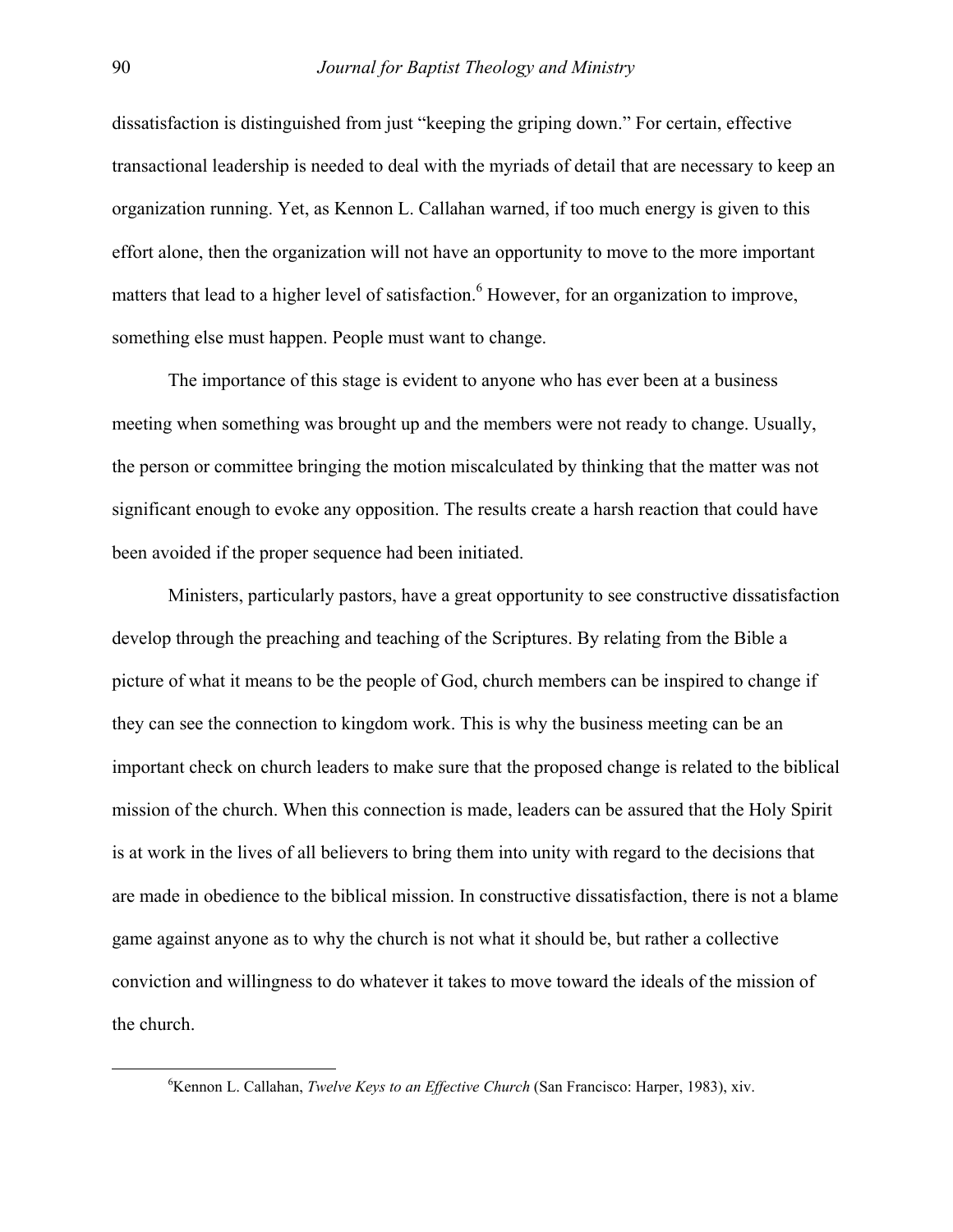dissatisfaction is distinguished from just "keeping the griping down." For certain, effective transactional leadership is needed to deal with the myriads of detail that are necessary to keep an organization running. Yet, as Kennon L. Callahan warned, if too much energy is given to this effort alone, then the organization will not have an opportunity to move to the more important matters that lead to a higher level of satisfaction. <sup>[6](#page-3-0)</sup> However, for an organization to improve, something else must happen. People must want to change.

 The importance of this stage is evident to anyone who has ever been at a business meeting when something was brought up and the members were not ready to change. Usually, the person or committee bringing the motion miscalculated by thinking that the matter was not significant enough to evoke any opposition. The results create a harsh reaction that could have been avoided if the proper sequence had been initiated.

Ministers, particularly pastors, have a great opportunity to see constructive dissatisfaction develop through the preaching and teaching of the Scriptures. By relating from the Bible a picture of what it means to be the people of God, church members can be inspired to change if they can see the connection to kingdom work. This is why the business meeting can be an important check on church leaders to make sure that the proposed change is related to the biblical mission of the church. When this connection is made, leaders can be assured that the Holy Spirit is at work in the lives of all believers to bring them into unity with regard to the decisions that are made in obedience to the biblical mission. In constructive dissatisfaction, there is not a blame game against anyone as to why the church is not what it should be, but rather a collective conviction and willingness to do whatever it takes to move toward the ideals of the mission of the church.

<span id="page-3-0"></span> $\begin{array}{c|c}\n\hline\n\text{6}\n\end{array}$ <sup>6</sup>Kennon L. Callahan, *Twelve Keys to an Effective Church* (San Francisco: Harper, 1983), xiv.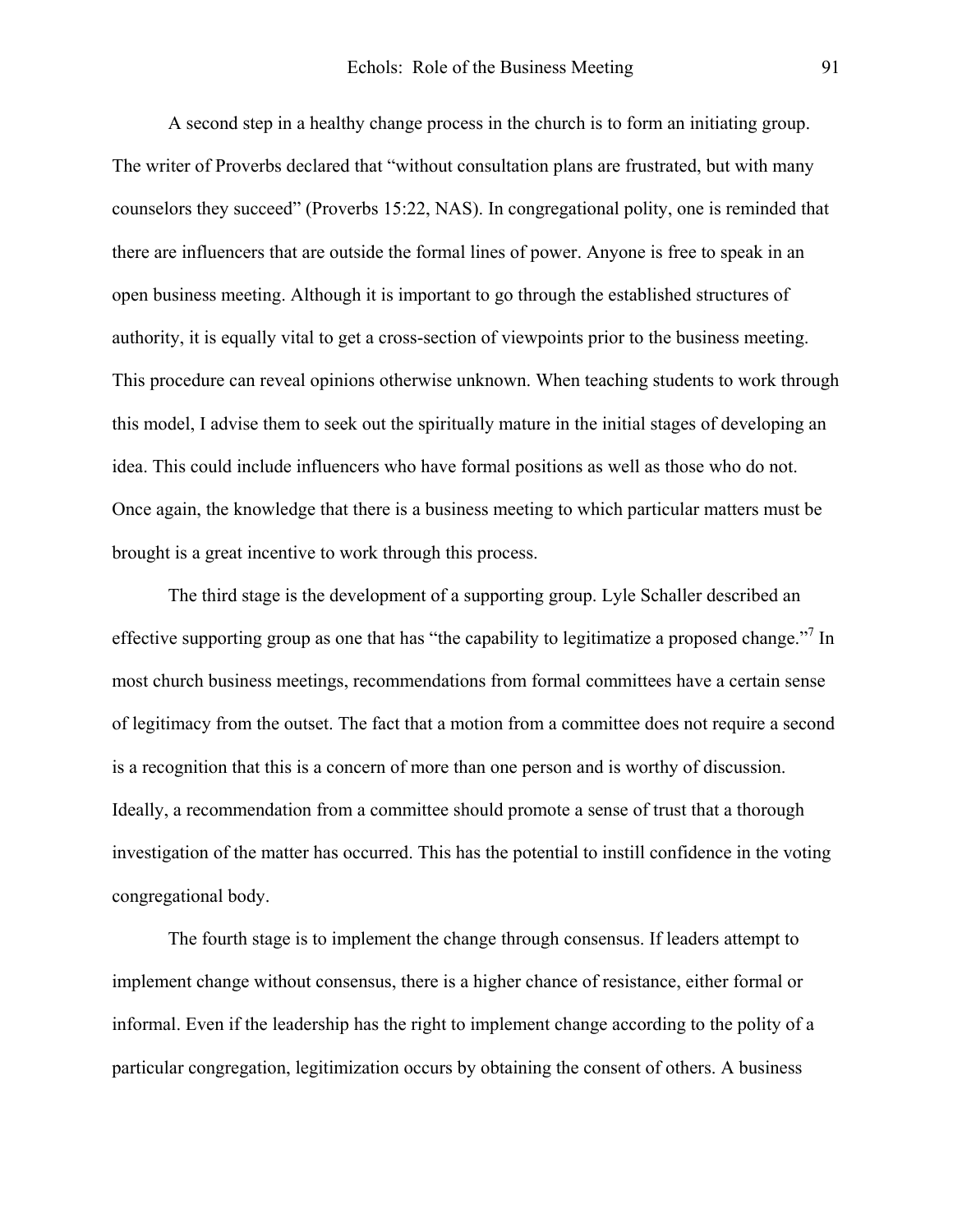A second step in a healthy change process in the church is to form an initiating group. The writer of Proverbs declared that "without consultation plans are frustrated, but with many counselors they succeed" (Proverbs 15:22, NAS). In congregational polity, one is reminded that there are influencers that are outside the formal lines of power. Anyone is free to speak in an open business meeting. Although it is important to go through the established structures of authority, it is equally vital to get a cross-section of viewpoints prior to the business meeting. This procedure can reveal opinions otherwise unknown. When teaching students to work through this model, I advise them to seek out the spiritually mature in the initial stages of developing an idea. This could include influencers who have formal positions as well as those who do not. Once again, the knowledge that there is a business meeting to which particular matters must be brought is a great incentive to work through this process.

<span id="page-4-0"></span> The third stage is the development of a supporting group. Lyle Schaller described an effectivesupporting group as one that has "the capability to legitimatize a proposed change."<sup>7</sup> In most church business meetings, recommendations from formal committees have a certain sense of legitimacy from the outset. The fact that a motion from a committee does not require a second is a recognition that this is a concern of more than one person and is worthy of discussion. Ideally, a recommendation from a committee should promote a sense of trust that a thorough investigation of the matter has occurred. This has the potential to instill confidence in the voting congregational body.

 The fourth stage is to implement the change through consensus. If leaders attempt to implement change without consensus, there is a higher chance of resistance, either formal or informal. Even if the leadership has the right to implement change according to the polity of a particular congregation, legitimization occurs by obtaining the consent of others. A business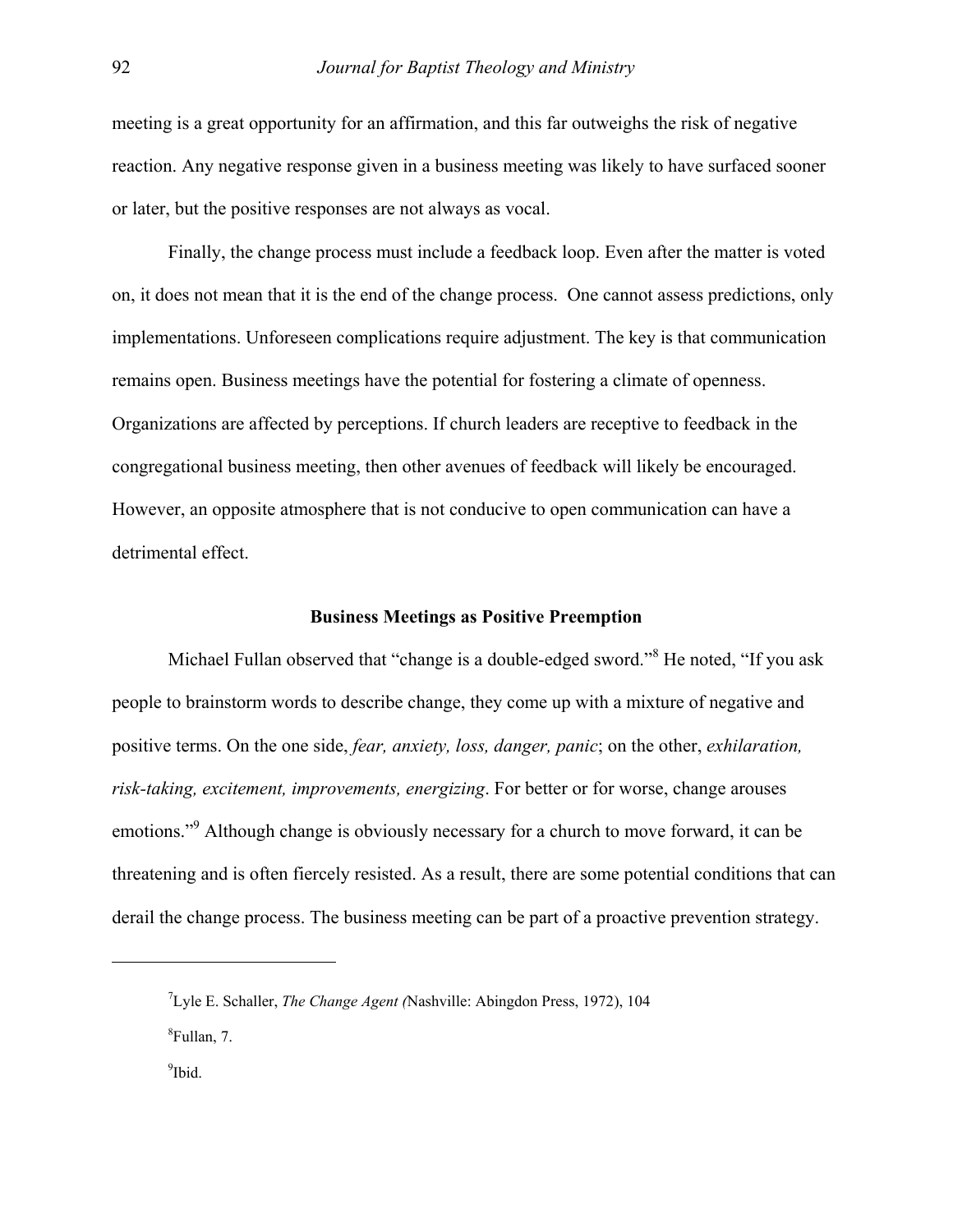meeting is a great opportunity for an affirmation, and this far outweighs the risk of negative reaction. Any negative response given in a business meeting was likely to have surfaced sooner or later, but the positive responses are not always as vocal.

 Finally, the change process must include a feedback loop. Even after the matter is voted on, it does not mean that it is the end of the change process. One cannot assess predictions, only implementations. Unforeseen complications require adjustment. The key is that communication remains open. Business meetings have the potential for fostering a climate of openness. Organizations are affected by perceptions. If church leaders are receptive to feedback in the congregational business meeting, then other avenues of feedback will likely be encouraged. However, an opposite atmosphere that is not conducive to open communication can have a detrimental effect.

## **Business Meetings as Positive Preemption**

Michael Fullan observed that "change is a double-edged sword."<sup>[8](#page-5-0)</sup> He noted, "If you ask people to brainstorm words to describe change, they come up with a mixture of negative and positive terms. On the one side, *fear, anxiety, loss, danger, panic*; on the other, *exhilaration, risk-taking, excitement, improvements, energizing*. For better or for worse, change arouses emotions."<sup>[9](#page-5-1)</sup> Although change is obviously necessary for a church to move forward, it can be threatening and is often fiercely resisted. As a result, there are some potential conditions that can derail the change process. The business meeting can be part of a proactive prevention strategy.

1

<span id="page-5-1"></span><span id="page-5-0"></span><sup>7</sup> Lyle E. Schaller, *The Change Agent (*Nashville: Abingdon Press, 1972), 104 8 Fullan, 7. 9 <sup>9</sup>Ibid.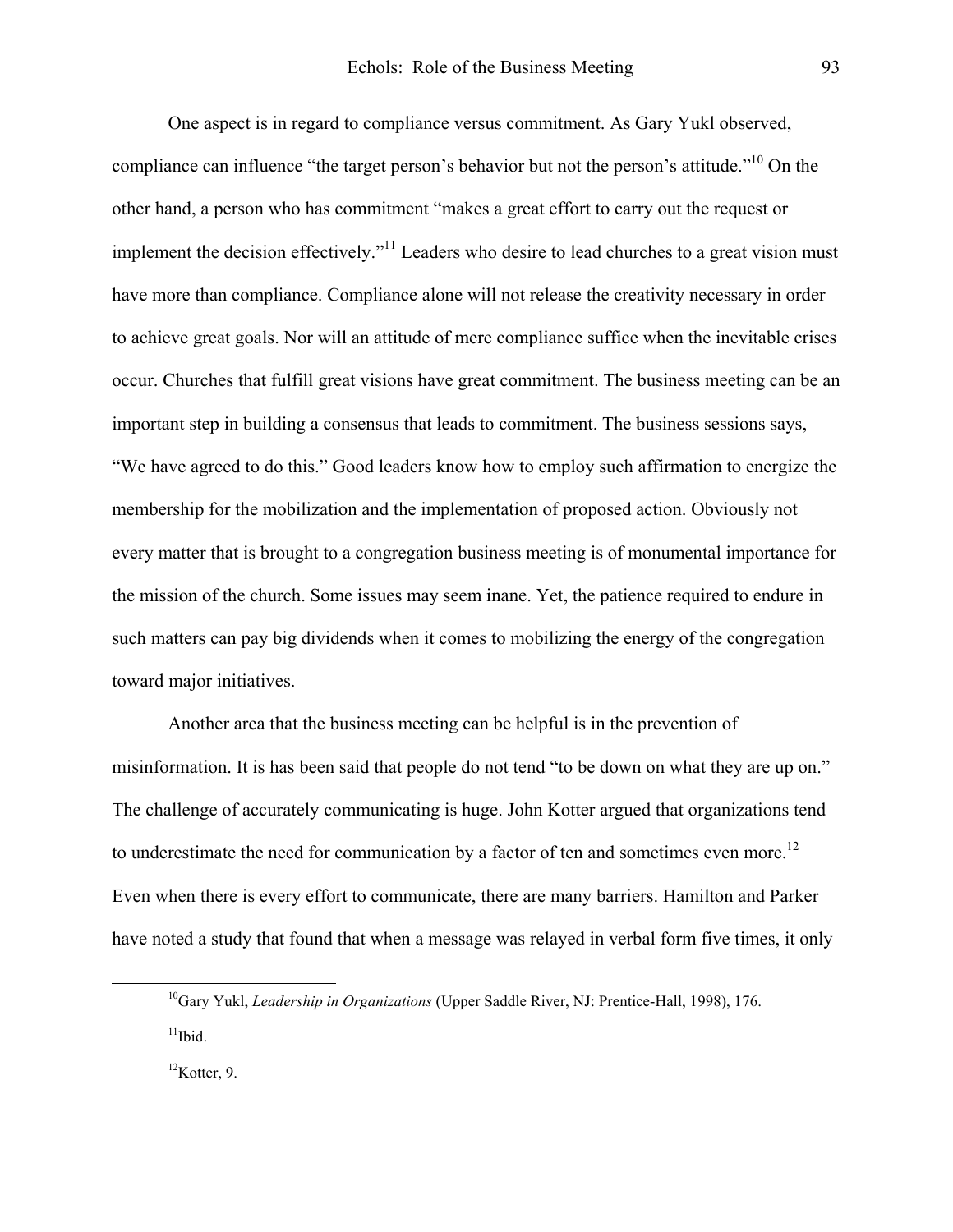One aspect is in regard to compliance versus commitment. As Gary Yukl observed, compliance can influence "the target person's behavior but not the person's attitude."<sup>10</sup> On the other hand, a person who has commitment "makes a great effort to carry out the request or implement the decision effectively."<sup>11</sup> Leaders who desire to lead churches to a great vision must have more than compliance. Compliance alone will not release the creativity necessary in order to achieve great goals. Nor will an attitude of mere compliance suffice when the inevitable crises occur. Churches that fulfill great visions have great commitment. The business meeting can be an important step in building a consensus that leads to commitment. The business sessions says, "We have agreed to do this." Good leaders know how to employ such affirmation to energize the membership for the mobilization and the implementation of proposed action. Obviously not every matter that is brought to a congregation business meeting is of monumental importance for the mission of the church. Some issues may seem inane. Yet, the patience required to endure in such matters can pay big dividends when it comes to mobilizing the energy of the congregation toward major initiatives.

 Another area that the business meeting can be helpful is in the prevention of misinformation. It is has been said that people do not tend "to be down on what they are up on." The challenge of accurately communicating is huge. John Kotter argued that organizations tend to underestimate the need for communication by a factor of ten and sometimes even more.<sup>[12](#page-6-2)</sup> Even when there is every effort to communicate, there are many barriers. Hamilton and Parker have noted a study that found that when a message was relayed in verbal form five times, it only

<span id="page-6-2"></span><span id="page-6-1"></span> ${}^{12}$ Kotter, 9.

<span id="page-6-0"></span><sup>&</sup>lt;sup>10</sup>Gary Yukl, *Leadership in Organizations* (Upper Saddle River, NJ: Prentice-Hall, 1998), 176.  $11$ Ibid.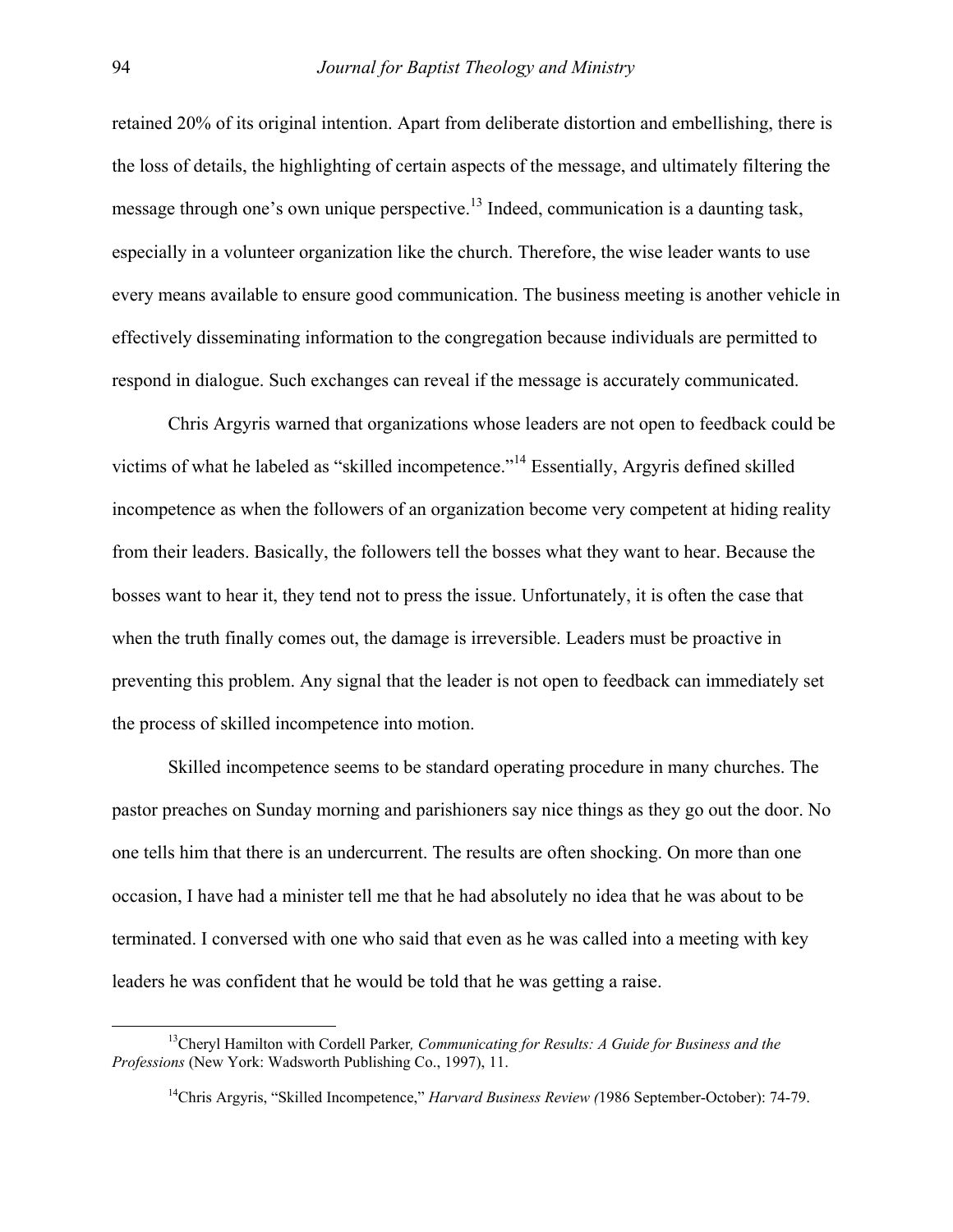retained 20% of its original intention. Apart from deliberate distortion and embellishing, there is the loss of details, the highlighting of certain aspects of the message, and ultimately filtering the message through one's own unique perspective.<sup>13</sup> Indeed, communication is a daunting task, especially in a volunteer organization like the church. Therefore, the wise leader wants to use every means available to ensure good communication. The business meeting is another vehicle in effectively disseminating information to the congregation because individuals are permitted to respond in dialogue. Such exchanges can reveal if the message is accurately communicated.

 Chris Argyris warned that organizations whose leaders are not open to feedback could be victims of what he labeled as "skilled incompetence."[14](#page-7-1) Essentially, Argyris defined skilled incompetence as when the followers of an organization become very competent at hiding reality from their leaders. Basically, the followers tell the bosses what they want to hear. Because the bosses want to hear it, they tend not to press the issue. Unfortunately, it is often the case that when the truth finally comes out, the damage is irreversible. Leaders must be proactive in preventing this problem. Any signal that the leader is not open to feedback can immediately set the process of skilled incompetence into motion.

 Skilled incompetence seems to be standard operating procedure in many churches. The pastor preaches on Sunday morning and parishioners say nice things as they go out the door. No one tells him that there is an undercurrent. The results are often shocking. On more than one occasion, I have had a minister tell me that he had absolutely no idea that he was about to be terminated. I conversed with one who said that even as he was called into a meeting with key leaders he was confident that he would be told that he was getting a raise.

 <sup>13</sup>Cheryl Hamilton with Cordell Parker*, Communicating for Results: A Guide for Business and the Professions* (New York: Wadsworth Publishing Co., 1997), 11.

<span id="page-7-1"></span><span id="page-7-0"></span><sup>&</sup>lt;sup>14</sup>Chris Argyris, "Skilled Incompetence," *Harvard Business Review (1986 September-October)*: 74-79.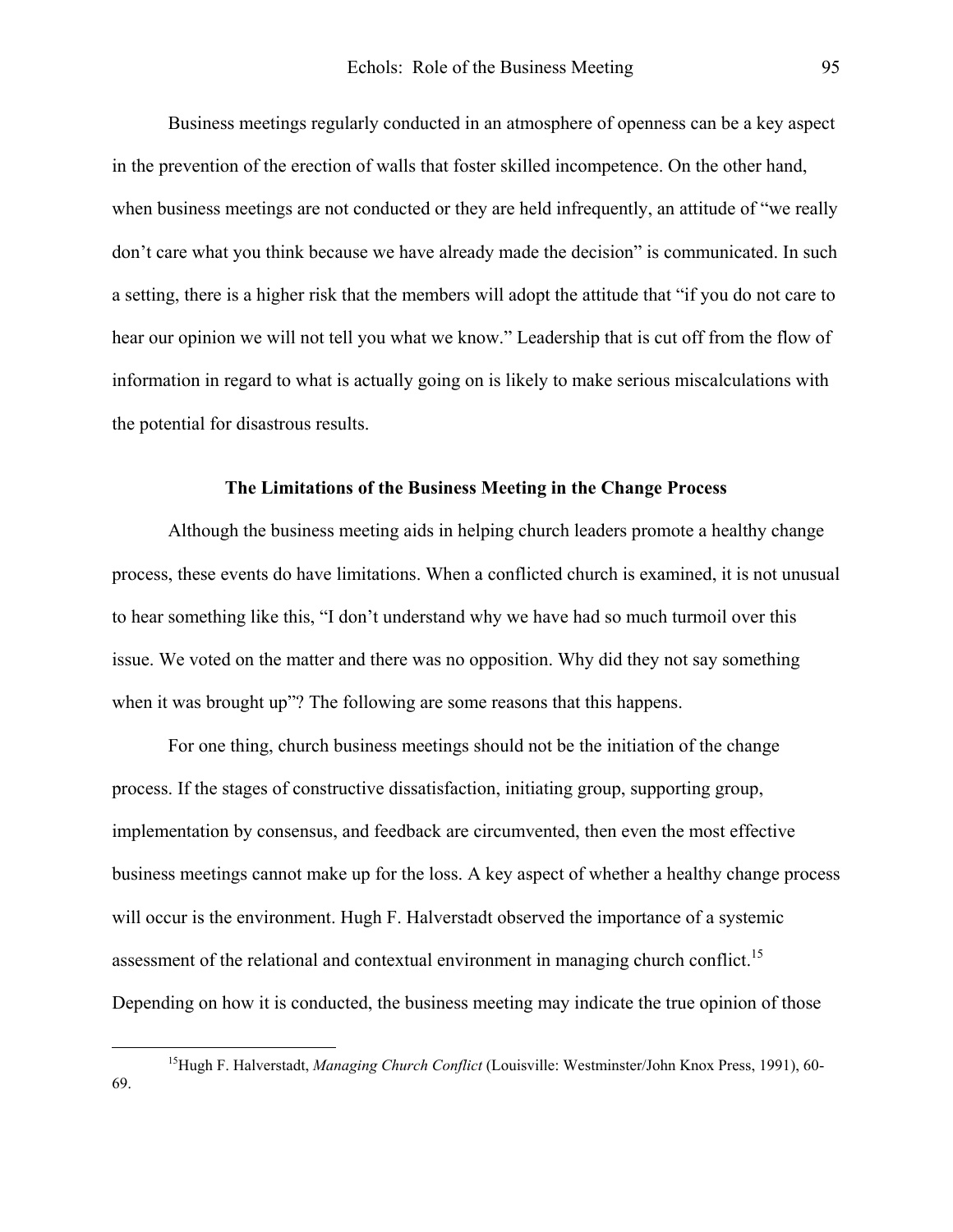Business meetings regularly conducted in an atmosphere of openness can be a key aspect in the prevention of the erection of walls that foster skilled incompetence. On the other hand, when business meetings are not conducted or they are held infrequently, an attitude of "we really don't care what you think because we have already made the decision" is communicated. In such a setting, there is a higher risk that the members will adopt the attitude that "if you do not care to hear our opinion we will not tell you what we know." Leadership that is cut off from the flow of information in regard to what is actually going on is likely to make serious miscalculations with the potential for disastrous results.

#### **The Limitations of the Business Meeting in the Change Process**

Although the business meeting aids in helping church leaders promote a healthy change process, these events do have limitations. When a conflicted church is examined, it is not unusual to hear something like this, "I don't understand why we have had so much turmoil over this issue. We voted on the matter and there was no opposition. Why did they not say something when it was brought up"? The following are some reasons that this happens.

 For one thing, church business meetings should not be the initiation of the change process. If the stages of constructive dissatisfaction, initiating group, supporting group, implementation by consensus, and feedback are circumvented, then even the most effective business meetings cannot make up for the loss. A key aspect of whether a healthy change process will occur is the environment. Hugh F. Halverstadt observed the importance of a systemic assessment of the relational and contextual environment in managing church conflict.<sup>15</sup> Depending on how it is conducted, the business meeting may indicate the true opinion of those

<span id="page-8-0"></span><sup>&</sup>lt;sup>15</sup>Hugh F. Halverstadt, *Managing Church Conflict* (Louisville: Westminster/John Knox Press, 1991), 60-69.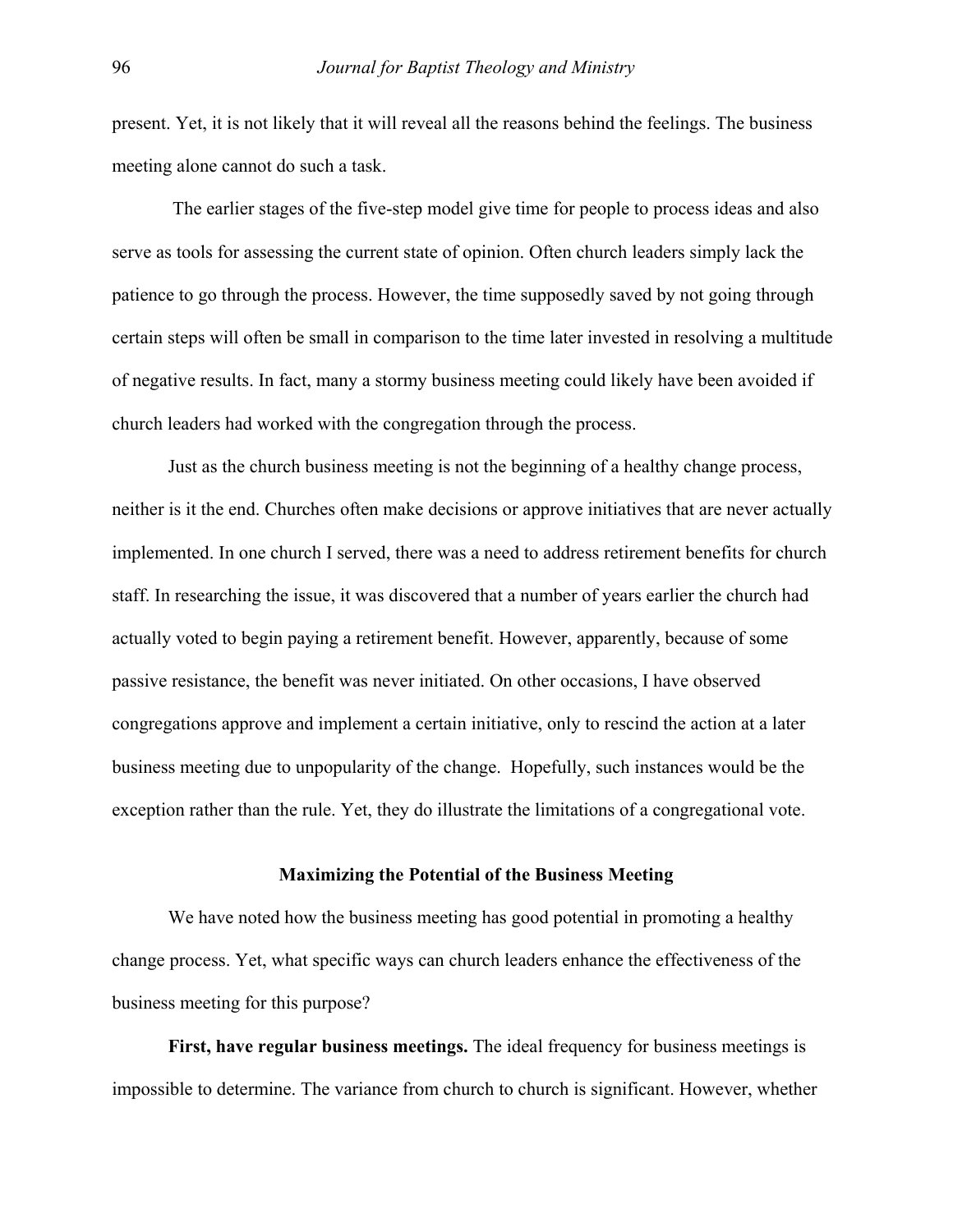present. Yet, it is not likely that it will reveal all the reasons behind the feelings. The business meeting alone cannot do such a task.

 The earlier stages of the five-step model give time for people to process ideas and also serve as tools for assessing the current state of opinion. Often church leaders simply lack the patience to go through the process. However, the time supposedly saved by not going through certain steps will often be small in comparison to the time later invested in resolving a multitude of negative results. In fact, many a stormy business meeting could likely have been avoided if church leaders had worked with the congregation through the process.

 Just as the church business meeting is not the beginning of a healthy change process, neither is it the end. Churches often make decisions or approve initiatives that are never actually implemented. In one church I served, there was a need to address retirement benefits for church staff. In researching the issue, it was discovered that a number of years earlier the church had actually voted to begin paying a retirement benefit. However, apparently, because of some passive resistance, the benefit was never initiated. On other occasions, I have observed congregations approve and implement a certain initiative, only to rescind the action at a later business meeting due to unpopularity of the change. Hopefully, such instances would be the exception rather than the rule. Yet, they do illustrate the limitations of a congregational vote.

### **Maximizing the Potential of the Business Meeting**

We have noted how the business meeting has good potential in promoting a healthy change process. Yet, what specific ways can church leaders enhance the effectiveness of the business meeting for this purpose?

**First, have regular business meetings.** The ideal frequency for business meetings is impossible to determine. The variance from church to church is significant. However, whether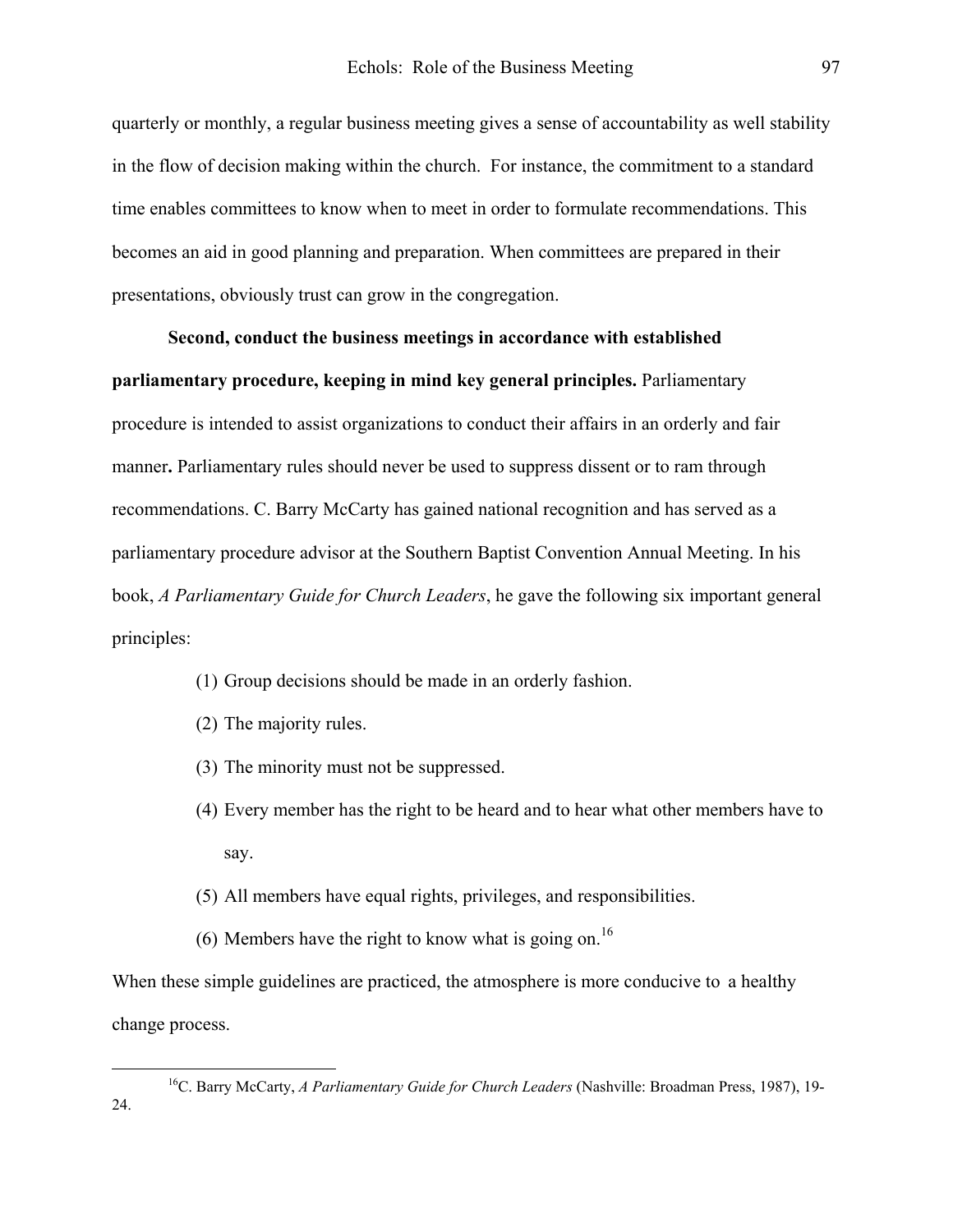quarterly or monthly, a regular business meeting gives a sense of accountability as well stability in the flow of decision making within the church. For instance, the commitment to a standard time enables committees to know when to meet in order to formulate recommendations. This becomes an aid in good planning and preparation. When committees are prepared in their presentations, obviously trust can grow in the congregation.

## **Second, conduct the business meetings in accordance with established**

**parliamentary procedure, keeping in mind key general principles.** Parliamentary procedure is intended to assist organizations to conduct their affairs in an orderly and fair manner**.** Parliamentary rules should never be used to suppress dissent or to ram through recommendations. C. Barry McCarty has gained national recognition and has served as a parliamentary procedure advisor at the Southern Baptist Convention Annual Meeting. In his book, *A Parliamentary Guide for Church Leaders*, he gave the following six important general principles:

- (1) Group decisions should be made in an orderly fashion.
- (2) The majority rules.
- (3) The minority must not be suppressed.
- (4) Every member has the right to be heard and to hear what other members have to say.
- (5) All members have equal rights, privileges, and responsibilities.
- (6) Members have the right to know what is going on.<sup>[16](#page-10-0)</sup>

When these simple guidelines are practiced, the atmosphere is more conducive to a healthy change process.

<span id="page-10-0"></span> <sup>16</sup>C. Barry McCarty, *A Parliamentary Guide for Church Leaders* (Nashville: Broadman Press, 1987), 19- 24.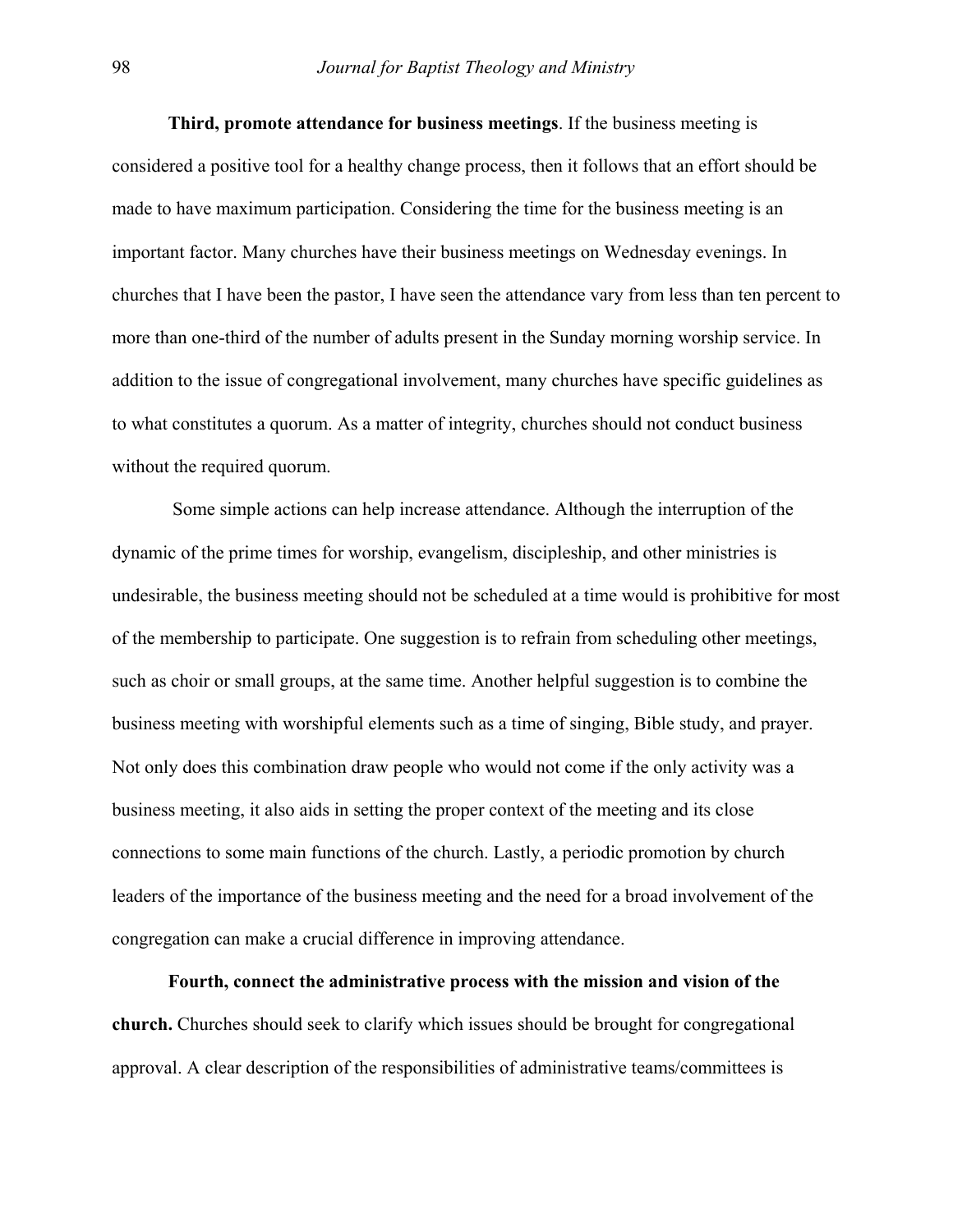**Third, promote attendance for business meetings**. If the business meeting is considered a positive tool for a healthy change process, then it follows that an effort should be made to have maximum participation. Considering the time for the business meeting is an important factor. Many churches have their business meetings on Wednesday evenings. In churches that I have been the pastor, I have seen the attendance vary from less than ten percent to more than one-third of the number of adults present in the Sunday morning worship service. In addition to the issue of congregational involvement, many churches have specific guidelines as to what constitutes a quorum. As a matter of integrity, churches should not conduct business without the required quorum.

 Some simple actions can help increase attendance. Although the interruption of the dynamic of the prime times for worship, evangelism, discipleship, and other ministries is undesirable, the business meeting should not be scheduled at a time would is prohibitive for most of the membership to participate. One suggestion is to refrain from scheduling other meetings, such as choir or small groups, at the same time. Another helpful suggestion is to combine the business meeting with worshipful elements such as a time of singing, Bible study, and prayer. Not only does this combination draw people who would not come if the only activity was a business meeting, it also aids in setting the proper context of the meeting and its close connections to some main functions of the church. Lastly, a periodic promotion by church leaders of the importance of the business meeting and the need for a broad involvement of the congregation can make a crucial difference in improving attendance.

**Fourth, connect the administrative process with the mission and vision of the church.** Churches should seek to clarify which issues should be brought for congregational approval. A clear description of the responsibilities of administrative teams/committees is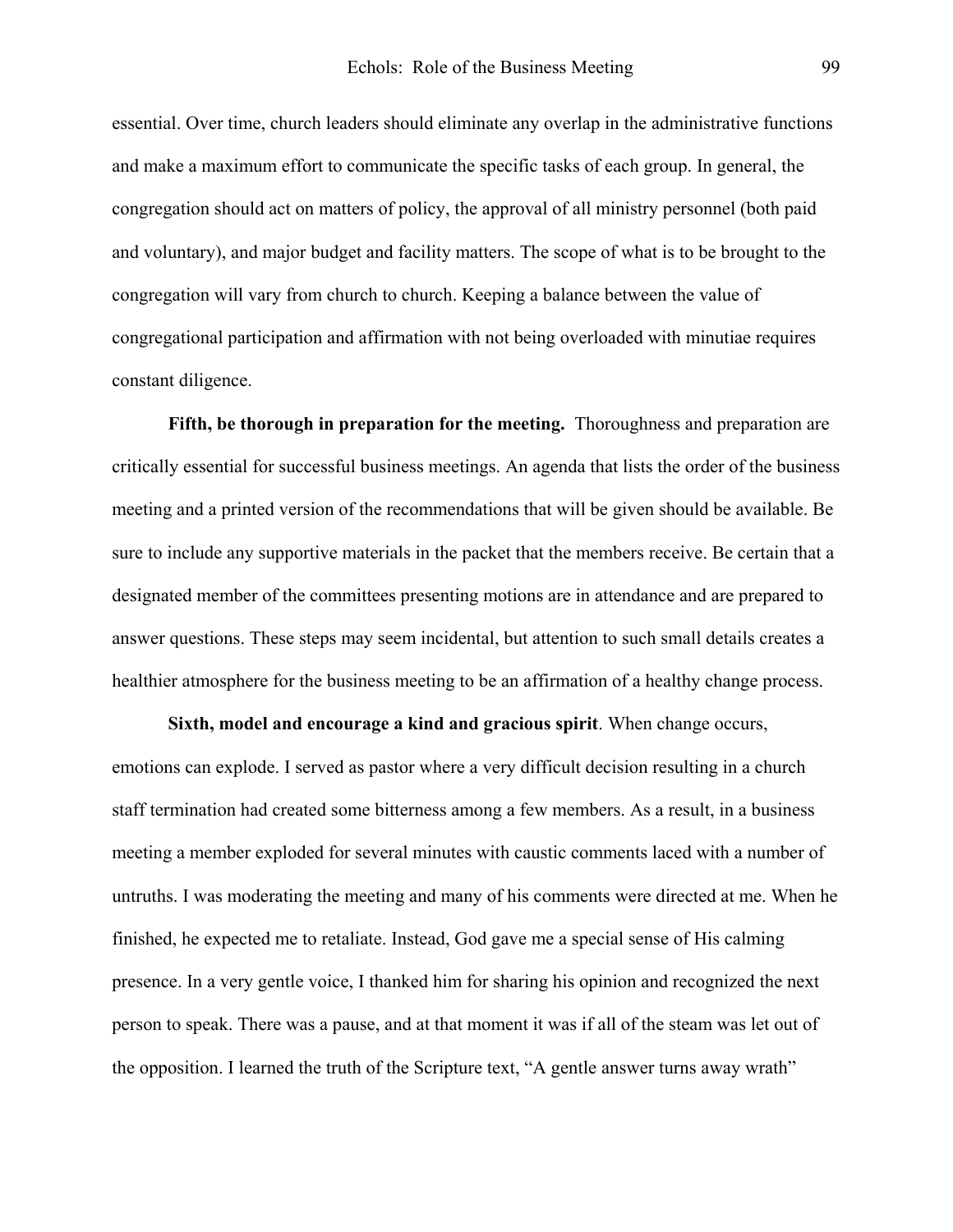essential. Over time, church leaders should eliminate any overlap in the administrative functions and make a maximum effort to communicate the specific tasks of each group. In general, the congregation should act on matters of policy, the approval of all ministry personnel (both paid and voluntary), and major budget and facility matters. The scope of what is to be brought to the congregation will vary from church to church. Keeping a balance between the value of congregational participation and affirmation with not being overloaded with minutiae requires constant diligence.

**Fifth, be thorough in preparation for the meeting.** Thoroughness and preparation are critically essential for successful business meetings. An agenda that lists the order of the business meeting and a printed version of the recommendations that will be given should be available. Be sure to include any supportive materials in the packet that the members receive. Be certain that a designated member of the committees presenting motions are in attendance and are prepared to answer questions. These steps may seem incidental, but attention to such small details creates a healthier atmosphere for the business meeting to be an affirmation of a healthy change process.

**Sixth, model and encourage a kind and gracious spirit**. When change occurs, emotions can explode. I served as pastor where a very difficult decision resulting in a church staff termination had created some bitterness among a few members. As a result, in a business meeting a member exploded for several minutes with caustic comments laced with a number of untruths. I was moderating the meeting and many of his comments were directed at me. When he finished, he expected me to retaliate. Instead, God gave me a special sense of His calming presence. In a very gentle voice, I thanked him for sharing his opinion and recognized the next person to speak. There was a pause, and at that moment it was if all of the steam was let out of the opposition. I learned the truth of the Scripture text, "A gentle answer turns away wrath"